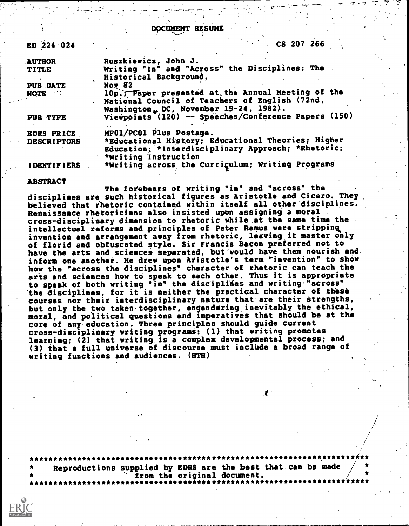DOCUMENT RESUME

| ED 224 024         | CS 207 266                                           |
|--------------------|------------------------------------------------------|
| <b>AUTHOR.</b>     | Ruszkiewicz, John J.                                 |
| <b>TITLE</b>       | Writing "In" and "Across" the Disciplines: The       |
|                    | Historical Background.                               |
| <b>PUB DATE</b>    | <b>Nov 82</b>                                        |
| <b>NOTE</b>        | 10p., Faper presented at the Annual Meeting of the   |
|                    | National Council of Teachers of English (72nd,       |
|                    | Washington $_L$ DC, November 19-24, 1982).           |
| PUB TYPE           | Viewpoints (120) -- Speeches/Conference Papers (150) |
| <b>EDRS PRICE</b>  | MF01/PC01 Plus Postage.                              |
| <b>DESCRIPTORS</b> | *Educational History; Educational Theories; Higher   |
|                    | Education; *Interdisciplinary Approach; *Rhetoric;   |
|                    | *Writing Instruction                                 |
| <b>IDENTIFIERS</b> | *Writing across the Currigulum; Writing Programs     |

## ABSTRACT

The fofebears of writing "in" and "across" the disciplines are such historical figures as Aristotle and Cicero. They, believed that rhetoric contained within itself all other disciplines. Renaissance rhetoricians also insisted upon assigning a moral cross-disciplinary dimension to rhetoric while at the same time the intellectual reforms and principles of Peter Remus were stripping4 invention and arrangement away from rhetoric, leaving it master only of florid and obfuscated style. Sir Francis Bacon preferred not to have the arts and sciences separated, but would have them nourish and inform one another. He drew upon Aristotle's term 'invention" to show how the "across the disciplines" character of rhetoric can teach the arts and sciences how to speak to each other. Thus it is appropriate to speak of both writing "in" the disciplides and writing'"across" 'the disciplines, for it is neither the practical character of these courses nor their interdisciplinary nature that are their strengths, but only the two taken together, engendering inevitably the ethical, moral, and political questions and imperatives that should be at the core of any education. Three principles should guide current cross-disciplinary writing programs: (1) that writing promotes learning; (2) that writing is a complex developmental process; and (3) that a full universe of discourse must include a broad range of writing functions and audiences. (HTH)

\*\*\*\*\*\*\*\*\*\*\*\*\*\*\*\*\*\*\*\*\*\*\*\*\*\*\*\*\*\*\*\*\*\*\*\*\*\*\*\*\*\*\*\*\*\*\*\*\*\*\*\*\*\*\*\*\*\*\*\*\*\*\*\*\*\*\*\*\*\*\* Reproductions supplied by EDRS are the best that can be made / from the original document.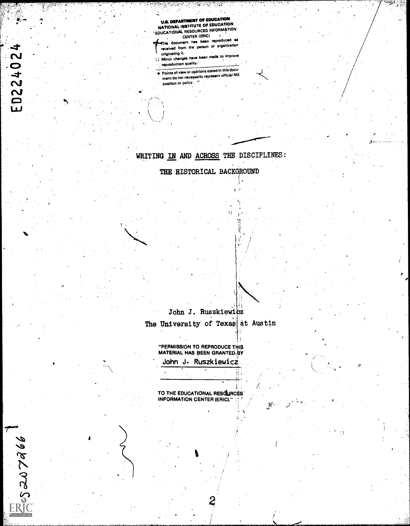U.S. DEPARTMENT OF EDUCATION<br>NATIONAL INSTITUTE OF EDUCATION<br>EDUCATIONAL RESOURCES INFORMATION<br>CENTER (ERIC)

 $\mathcal{A}_{\rm{max}}$ 

<u> Martin Martin Martin (</u>

hie document has been reproduced 43 received from the person or organization<br>originating it.

originating it, . I..I Minor changes have been made to improve

reproduction quality.

ED22402

Besser 2906

Points of view Or opinions stated in this docu ment do not necessruily represent official NIE position or policy.

## WRITING IN AND ACROSS THE DISCIPLINES:

THE HISTORICAL BACKGROUND

John J. Ruszkiewicz The University of Texas at Austin

Cl

"PERMISSION TO REPRODUCE THIS MATERIAL HAS BEEN GRANTED,BY John J. Ruszkiewicz

TO THE EDUCATIONAL RESOLURCES' INFORMATION CENTER (ERIC)."

 $\mathcal{R}^{\mathcal{L}}$  .

 $\mathbf{z}$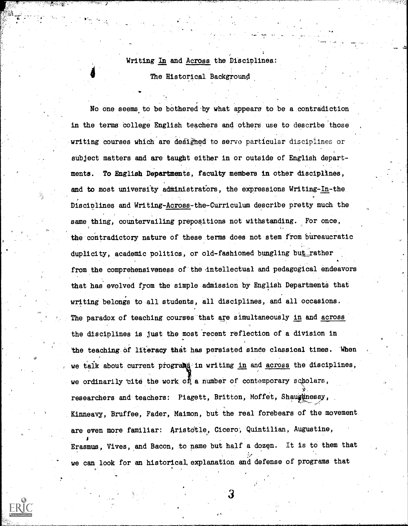## Writing In and Across the Disciplines.: The Historical Background

No one seems.to be bothered-by what appears to be a contradiction in the terms College English teachers and'others use to describe 'those writing courses which are designed to serve particular disciplines or subject matters and are taught either in or outside of English departments. To English Departments, faculty members in other disciplines, and to most university administrators, the expressions Writing-In-the Disciplines and Writing-Across-the-Curriculum describe pretty much the same thing, countervailing prepositions not withstanding. For once, the contradictory nature of these terms does not stem from bureaucratic duplicity, academic politics, or old-fashioned bungling but rather from the comprehensiveness of the intellectual and pedagogical endeavors that has evolved from the simple admission by English Departments that writing belongs to all students, all disciplines, and all occasions. The paradox of teaching courses that are simultaneously in and across the disciplines is just the most recent reflection of a division in the teaching of literacy that has persisted since classical times. When we talk about current programs in writing in and across the disciplines, we ordinarily tite the work of a number of contemporary scholars, researchers and teachers: Piagett, Britton, Moffet, Shaughnessy,  $-$  ,  $z$  ,  $z$  ,  $z$  ,  $z$  ,  $z$  ,  $z$  ,  $z$  ,  $z$  ,  $z$  ,  $z$  ,  $z$  ,  $z$  ,  $z$  ,  $z$  ,  $z$  ,  $z$  ,  $z$  ,  $z$  ,  $z$  ,  $z$  ,  $z$  ,  $z$  ,  $z$  ,  $z$  ,  $z$  ,  $z$  ,  $z$  ,  $z$  ,  $z$  ,  $z$  ,  $z$  ,  $z$  ,  $z$  ,  $z$  ,  $z$  ,  $z$  , Kinneavy, Bruffee, Fader, Maimon, but the real forebears of the movement are even more familiar: Aristotle, Cicero, Quintilian, Augustine, ! Erasmus, Vives, and Bacon, to name but half a dozen. It is to them that we can look for an historical explanation and defense of programs that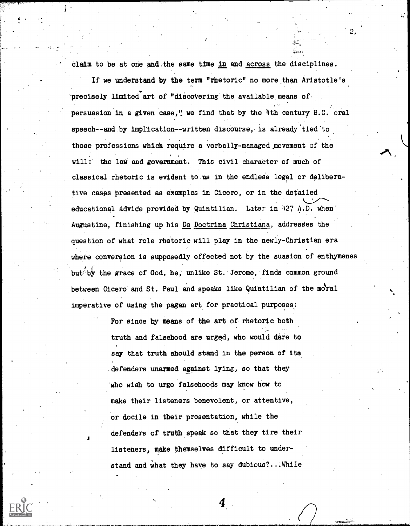claim to be at one and,the same time in and across the disciplines.

2.

If we understand by the term "rhetoric" no more than Aristotle's precisely limited art of "discovering the available means of persuasion in a given case," we find that by the 4th century B.C. oral speech--and by implication--written discourse, is already tied to those professions which require a verbally-managed,movement of the will: the law and government. This civil character of much of classical rhetoric is evident to us in the endless legal or deliberative cases presented as examples in Cicero, or in the detailed educational ddvide provided by Quintilian. Later in 427 A.D. when' Augustine, finishing up his De Doctrina Christiana, addresses the question of what role rhetoric will play in the newly-Christian era where conversion is supposedly effected not by the suasion of enthymenes but, by the grace of God, he, unlike St. Jerome, finds common ground between Cicero and St. Paul and speaks like Quintilian of the moral imperative of using the pagan art for practical purposes:

> For since by means of the art of rhetoric both truth and falsehood are urged, who would dare to say that truth should stand in the person of its .defenders unarmed against lying, so that they who wish to urge falsehoods may know how to make their listeners benevolent, or attentive, or docile in their presentation, while the defenders of truth speak so that they tire their listeners, make themselves difficult to understand and What they have to say dubious?...While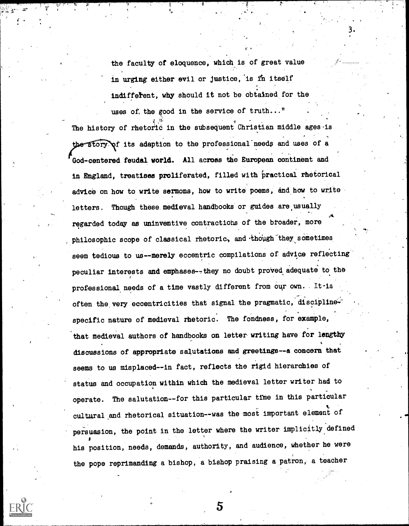the faculty of eloquence, which is of great value in urging either evil or justice, is in itself indifferent, why should it not be obtained for the uses of, the good in the service of truth..."

The history of rhetoric in the subsequent Christian middle ages is  $\widehat{\text{ory}}$  of its adaption to the professional needs and uses of a , God-centered feudal world. All across the European continent and in England, treatises proliferated, filled with practical rhetorical advice on how to write sermons, how to write poems, and how to write letters. Though these medieval handbooks or guides are usually regarded today as uninventive contractions of the broader, more philosophic scope of classical rhetoric, and though they sometimes seem tedious to us--merely eccentric compilations of advice reflecting peculiar interests and emphases--they no doubt proved adequate to the professional needs of a time vastly different from Our own. . It-is ..\* often the very eccentricities that signal the pragmatic, discipline  $\mathbf{\hat{F}}$ specific nature of medieval rhetoric. The fondness, for example, that medieval authors of handbooks on letter writing have for lengthy discussions of appropriate salutations and greetings--a concern that seems to us misplaced--in fact, reflects the rigid hierarchies of status and occupation within which the medieval letter writer had to operate. The salutation--for this particular time in this particular cultural and rhetorical situation--was the most important element of persuasion, the point in the letter where the writer implicitly defined his position, needs, demands, authority, and audience, whether he were the pope reprimanding a bishop, a bishop praising a patron, a teacher

 $\mathbf{5}$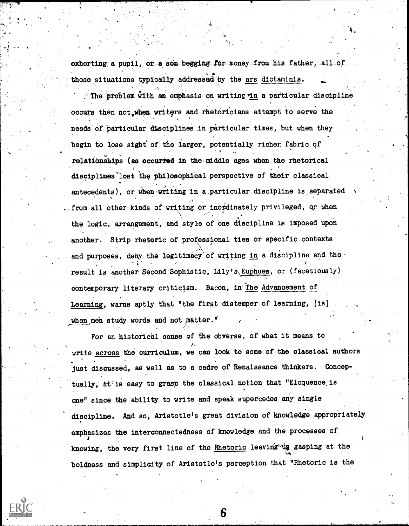exhorting a pupil, or a son begging for money from his father, all of these situations typically addressed by the ars dictaminis.

The problem with an emphasis on writing in a particular discipline occurs then not,when writers and rhetoricians attempt to serve the needs of particular disciplines in particular times, but when they begin to lose sight of the larger, potentially richer fabric of relationships (as occurred in themiddle ages when the rhetorical disciplines'lost the philosophical-perspective of their-classical antecedents), or when writing in a particular discipline is separated . from all other kinds of writing or inordinately privileged, or when the logic, arrangement, and style of one discipline is imposed upon another. Strip rhetoric of professional ties or specific contexts and purposes, deny the legitimacy of writing in a discipline and the  $\cdot$ , result is another Second Sophistic, Lily's\Euphues, or (facetiously) contemporary literary criticism. Bacon, in'The Advancement of Learning, warns aptly that "the first distemper of learning, [is] when meh study words and not matter."

For an historical sense of the obverse, of what it means to write across the curriculum, we can look to some of the classical authors just discussed, as well as to a cadre of Renaissance thinkers. Conceptually,  $\pm t$ <sup> $\leq$ </sup> is easy to grasp the classical notion that "Eloquence is one" since the ability to write and speak supercedes any single discipline. And so, Aristotle's great division of knowledge appropriately emphasizes the interconnectedness of knowledge and the processes of knowing, the very first line of the Rhetoric leaving the gasping at the boldness and simplicity of Aristotle's perception that "Rhetoric is the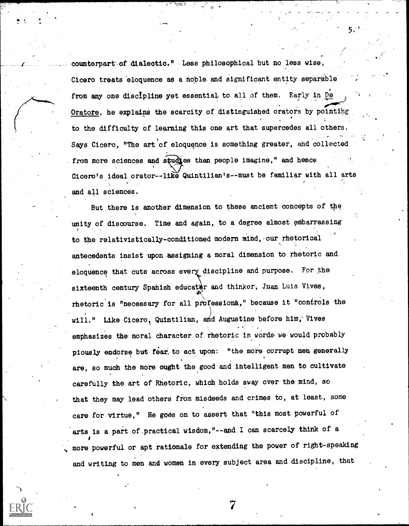counterpart-of dialectic." -Less philosophical but no less wise, Cicero treats eloquence as a noble and significant entity separable from any one discipline yet essential to all of them. Early in De Oratore, he explains the scarcity of distinguished orators by pointing , ..: to the difficulty of learning this one art that supercedes all others. Says Cicero, "The art of eloquence is something greater, and collected from more sciences and studies than people imagine," and hence<br>Cicero's ideal orator--like Quintilian's--must be familiar with all arts , and all sciences.

 $\mathbf{5.1}$ 

But.there is another dimension to these ancient concepts of the unity of discourse. Time and again, to a degree almost embarrassing to the relativistically-conditioned modern mind,-our rhetorical antecedents insist upon assigning a moral dimension to rhetoric and. eloquence that cuts across every discipline and purpose. For the sixteenth century Spahish educater and thinker, Juan Luis Vives,  $r$ hetoric is "necessary for all professions," because it "controls the will." Like Cicero, Quintilian, and Augustine before him, Vives emphasizes the moral character of rhetoric in words we would probably piously endorse but fear to act upon: "the more corrupt men generally are, so much the more ought the good and intelligent men to cultivate carefully the art of Rhetoric, which holds sway over the mind, so that they may lead others from misdeeds and crimes to, at least, some care for virtue," He goes on to assert that "this most powerful of arts is a part of practical wisdom,"--and I can scarcely think of a more powerful or apt rationale for extending the power of right-speaking and writing to men and women in every subject area and discipline, that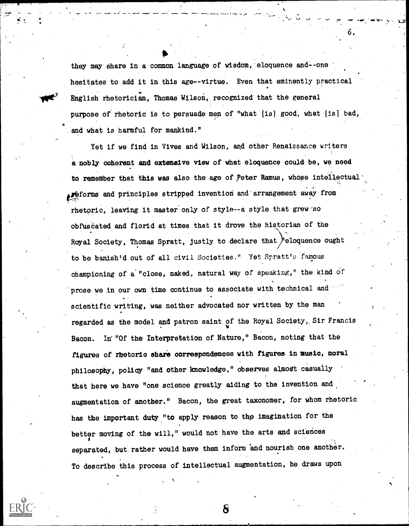they may share in a common language of wisdom, eloquence and--one hesitates to add it in this age--virtue. Even that eminently practical English rhetorician, Thomas Wilson, recognized that the general purpose of rhetoric is to persuade men of "what [is] good, what [is] bad, a in the second second in the second second in the second second second in the second second in the second second second in the second second in the second second second in the second second second in the second second sec .and what is harmful for mankind."

4,10."

Yet if we find in Vives and Wilson, and other Renaissance writers a:nobly coherent and extensive view of what eloquence could be, we need to remember that this was also the age of peter Remus, whose intellectual- . 4 epforms and principles stripped invention and'arrangement-away from rhetoric, leaving it master only of style--a style that grew so obfuscated and florid at times that it drove the historian of the Royal Society, Thomas Spratt, justly to declare that 'eloquence ought to be banish'd out of all civil Societies." Yet Spratt's famous championing of a "close, naked, natural way of speaking," the kind of prose we in our own time continue to associate with technical and scientific writing, was neither advocated nor written by the man regarded as the model and patron saint of the Royal Society, Sir Francis Bacon. In'"Of the Interpretation of Nature," Bacon, noting that the figures of rhetoric share correspondences with figures in music, moral philosophy, policy "and other knowledge," observes almost casually that here we have "one science greatly aiding to the invention and augmentation of another." Bacon, the great taxonomer, for whom rhetoric has the important duty "to apply reason to the imagination for the better moving of the will," would not have the arts and sciences separated, but rather would have them inform and nourish one another. To describe this process of intellectual augmentation, he draws upon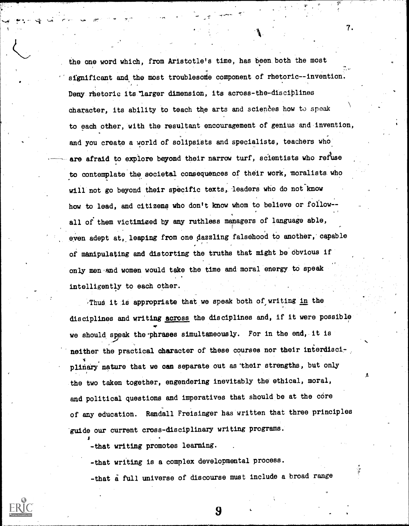the one word which, from Aristotle's time, has been both the most significant and the most troublesome component of rhetoric--invention. Deny rhetoric its larger dimension, its across-the-disciplines character, its ability to teach the arts and sciences how to speak to each other, with the resultant encouragement of genius and invention, and you create a world of solipsists and specialists, teachers who are afraid to explore beyond their narrow turf, scientists who refuse to contemplate the societal consequences of their work, moralists who will not go beyond their specific texts, leaders who do not know how to lead, and citizens who don't know whom to believe or follow- all of them victimized by any ruthless managers of language able, even adept at, leaping from one dazzling falsehood to another, capable , of manipulating and distorting the truths that might be'Obvious if only men and women would take the time and moral energy to speak intelligently to each other.

Thus it is appropriate that we speak both of writing in the disciplines and writing across the dieciplines and, if it were possible we should speak the phrases simultaneously. For in the end, it is neither the practical character of these courses nor their interdisciplinary nature that we can separate out as their strengths, but only the two taken together, engendering inevitably the' ethical, moral, and political questions and imperatives that should be at the core of any education. Randall Freisinger has written that three principles 'guide our current cross-disciplinary writing programs.

-that writing promotes learning.

fr.

-that writing is a complex developmental process.

-that a full universe of discourse must include a broad range

9

7.

A